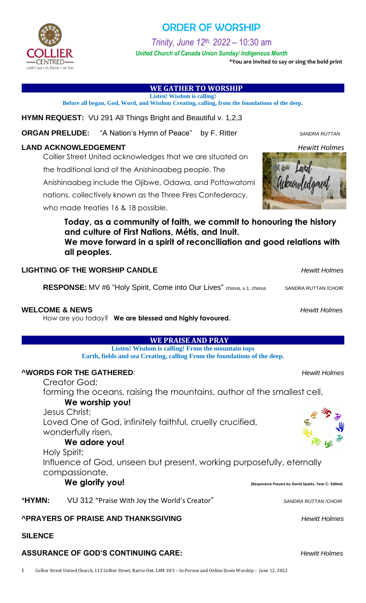

## **WE GATHER TO WORSHIP**

**Listen! Wisdom is calling! Before all began, God, Word, and Wisdom Creating, calling, from the foundations of the deep.**

**HYMN REQUEST:** VU 291 All Things Bright and Beautiful v. 1,2,3

**ORGAN PRELUDE:** "A Nation's Hymn of Peace" by F. Ritter *SANDRA RUTTAN* 

## **LAND ACKNOWLEDGEMENT** *Hewitt Holmes*

Collier Street United acknowledges that we are situated on

the traditional land of the Anishinaabeg people. The

Anishinaabeg include the Ojibwe, Odawa, and Pottawatomi

nations, collectively known as the Three Fires Confederacy,

who made treaties 16 & 18 possible.

**Today, as a community of faith, we commit to honouring the history and culture of First Nations, Métis, and Inuit.**

**We move forward in a spirit of reconciliation and good relations with all peoples.**

## **LIGHTING OF THE WORSHIP CANDLE** *Hewitt Holmes*

**RESPONSE:** MV #6 "Holy Spirit, Come into Our Lives" chorus, v.1, chorus SANDRA RUTTAN /CHOIR

## **WELCOME & NEWS** *Hewitt Holmes*

How are you today? **We are blessed and highly favoured.**

## **WE PRAISE AND PRAY**

**Listen! Wisdom is calling! From the mountain tops Earth, fields and sea Creating, calling From the foundations of the deep.**

## **^WORDS FOR THE GATHERED***: Hewitt Holmes*

Creator God;

forming the oceans, raising the mountains, author of the smallest cell,

**We worship you!**

Jesus Christ; Loved One of God, infinitely faithful, cruelly crucified, wonderfully risen,

**We adore you!**

Holy Spirit; Influence of God, unseen but present, working purposefully, eternally compassionate,

**We glorify you! (Responsive Prayers by David Sparks, Year C- Edited)**

\***HYMN:** VU 312 "Praise With Joy the World's Creator" *SANDRA RUTTAN /CHOIR*

# **^PRAYERS OF PRAISE AND THANKSGIVING** *Hewitt Holmes*

**SILENCE**

# **ASSURANCE OF GOD'S CONTINUING CARE:** *Hewitt Holmes*

1 Collier Street United Church, 112 Collier Street, Barrie Ont. L4M 1H3 – In-Person and Online Zoom Worship – June 12, 2022

# ORDER OF WORSHIP

*Trinity, June 12th, 2022* – 10:30 am

*United Church of Canada Union Sunday/ Indigenous Month* **\*You are invited to say or sing the bold print**













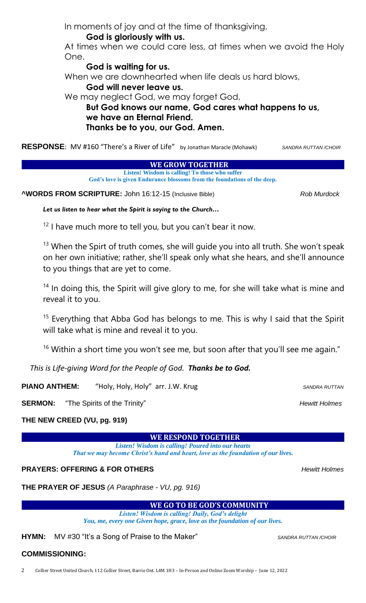In moments of joy and at the time of thanksgiving, **God is gloriously with us.**

At times when we could care less, at times when we avoid the Holy One.

**God is waiting for us.**

When we are downhearted when life deals us hard blows,

### **God will never leave us.**

We may neglect God, we may forget God,

**But God knows our name, God cares what happens to us, we have an Eternal Friend. Thanks be to you, our God. Amen.**

**RESPONSE**: MV #160 "There's a River of Life" by Jonathan Maracle (Mohawk)*SANDRA RUTTAN /CHOIR*

**WE GROW TOGETHER** 

**Listen! Wisdom is calling! To those who suffer God's love is given Endurance blossoms from the foundations of the deep.**

**^WORDS FROM SCRIPTURE:** John 16:12-15 (Inclusive Bible) *Rob Murdock*

Let us listen to hear what the Spirit is saying to the Church...

 $12$  I have much more to tell you, but you can't bear it now.

 $13$  When the Spirt of truth comes, she will guide you into all truth. She won't speak on her own initiative; rather, she'll speak only what she hears, and she'll announce to you things that are yet to come.

 $14$  In doing this, the Spirit will give glory to me, for she will take what is mine and reveal it to you.

<sup>15</sup> Everything that Abba God has belongs to me. This is why I said that the Spirit will take what is mine and reveal it to you.

<sup>16</sup> Within a short time you won't see me, but soon after that you'll see me again."

*This is Life-giving Word for the People of God. Thanks be to God.*

**PIANO ANTHEM:** "Holy, Holy, Holy" arr. J.W. Krug **SANDRA RUTTAN** 

**SERMON:** "The Spirits of the Trinity" **All and SERMON:** Hewitt Holmes

### **THE NEW CREED (VU, pg. 919)**

**WE RESPOND TOGETHER** 

*Listen! Wisdom is calling! Poured into our hearts That we may become Christ's hand and heart, love as the foundation of our lives.*

### **PRAYERS: OFFERING & FOR OTHERS** *Hewitt Holmes*

**THE PRAYER OF JESUS** *(A Paraphrase - VU, pg. 916)*

### **WE GO TO BE GOD'S COMMUNITY**

*Listen! Wisdom is calling! Daily, God's delight You, me, every one Given hope, grace, love as the foundation of our lives.*

**HYMN:** MV #30 "It's a Song of Praise to the Maker" *SANDRA RUTTAN/CHOIR* 

### **COMMISSIONING:**

2 Collier Street United Church, 112 Collier Street, Barrie Ont. L4M 1H3 – In-Person and Online Zoom Worship – June 12, 2022